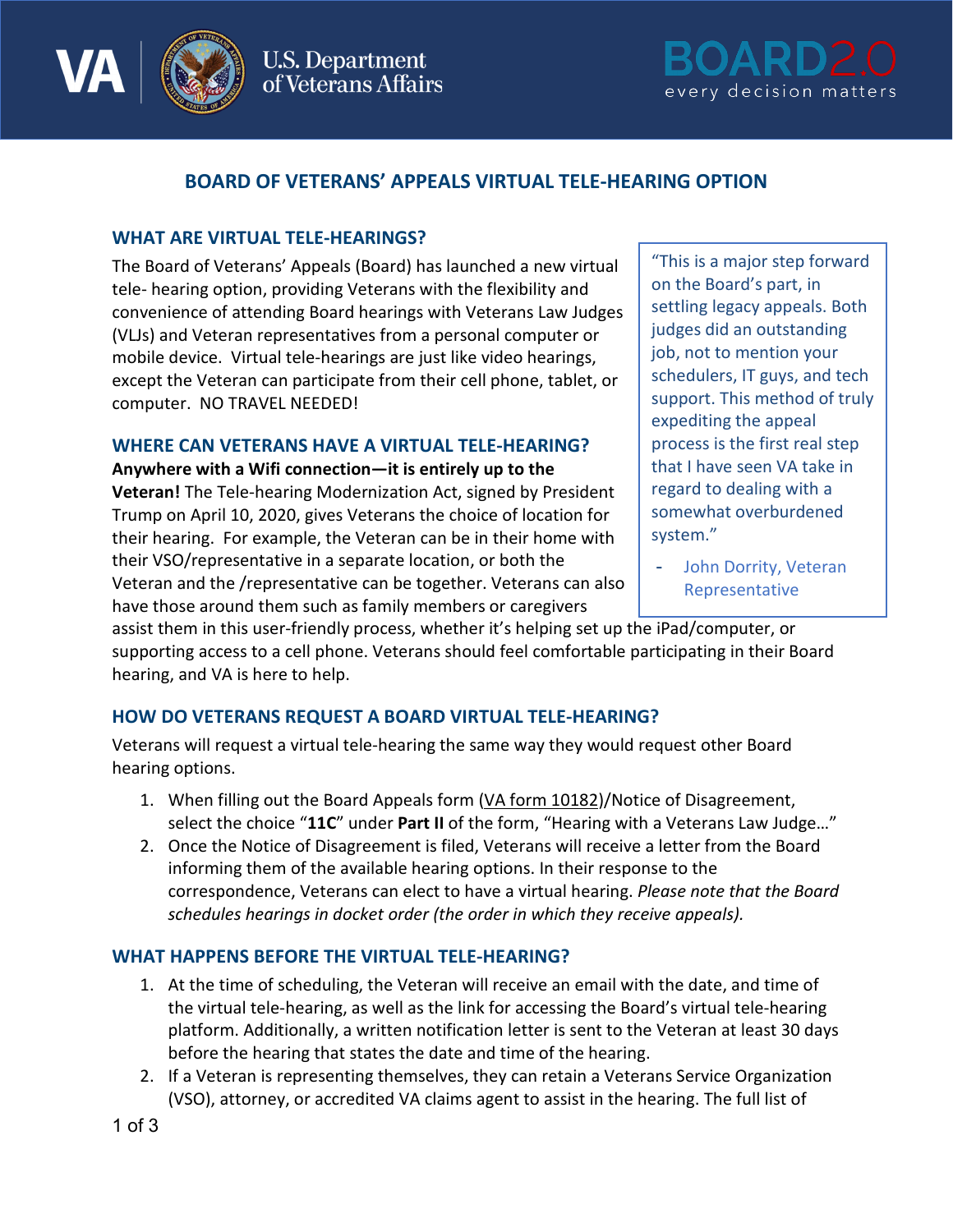

**U.S. Department** of Veterans Affairs



# **BOARD OF VETERANS' APPEALS VIRTUAL TELE-HEARING OPTION**

## **WHAT ARE VIRTUAL TELE-HEARINGS?**

The Board of Veterans' Appeals (Board) has launched a new virtual tele- hearing option, providing Veterans with the flexibility and convenience of attending Board hearings with Veterans Law Judges (VLJs) and Veteran representatives from a personal computer or mobile device. Virtual tele-hearings are just like video hearings, except the Veteran can participate from their cell phone, tablet, or computer. NO TRAVEL NEEDED!

#### **WHERE CAN VETERANS HAVE A VIRTUAL TELE-HEARING?**

**Anywhere with a Wifi connection—it is entirely up to the** 

**Veteran!** The Tele-hearing Modernization Act, signed by President Trump on April 10, 2020, gives Veterans the choice of location for their hearing. For example, the Veteran can be in their home with their VSO/representative in a separate location, or both the Veteran and the /representative can be together. Veterans can also have those around them such as family members or caregivers

"This is a major step forward on the Board's part, in settling legacy appeals. Both judges did an outstanding job, not to mention your schedulers, IT guys, and tech support. This method of truly expediting the appeal process is the first real step that I have seen VA take in regard to dealing with a somewhat overburdened system."

John Dorrity, Veteran Representative

assist them in this user-friendly process, whether it's helping set up the iPad/computer, or supporting access to a cell phone. Veterans should feel comfortable participating in their Board hearing, and VA is here to help.

## **HOW DO VETERANS REQUEST A BOARD VIRTUAL TELE-HEARING?**

Veterans will request a virtual tele-hearing the same way they would request other Board hearing options.

- 1. When filling out the Board Appeals form (VA [form 10182\)](https://www.va.gov/decision-reviews/forms/board-appeal-10182.pdf)/Notice of Disagreement, select the choice "**11C**" under **Part II** of the form, "Hearing with a Veterans Law Judge…"
- 2. Once the Notice of Disagreement is filed, Veterans will receive a letter from the Board informing them of the available hearing options. In their response to the correspondence, Veterans can elect to have a virtual hearing. *Please note that the Board schedules hearings in docket order (the order in which they receive appeals).*

# **WHAT HAPPENS BEFORE THE VIRTUAL TELE-HEARING?**

- 1. At the time of scheduling, the Veteran will receive an email with the date, and time of the virtual tele-hearing, as well as the link for accessing the Board's virtual tele-hearing platform. Additionally, a written notification letter is sent to the Veteran at least 30 days before the hearing that states the date and time of the hearing.
- 2. If a Veteran is representing themselves, they can retain a Veterans Service Organization (VSO), attorney, or accredited VA claims agent to assist in the hearing. The full list of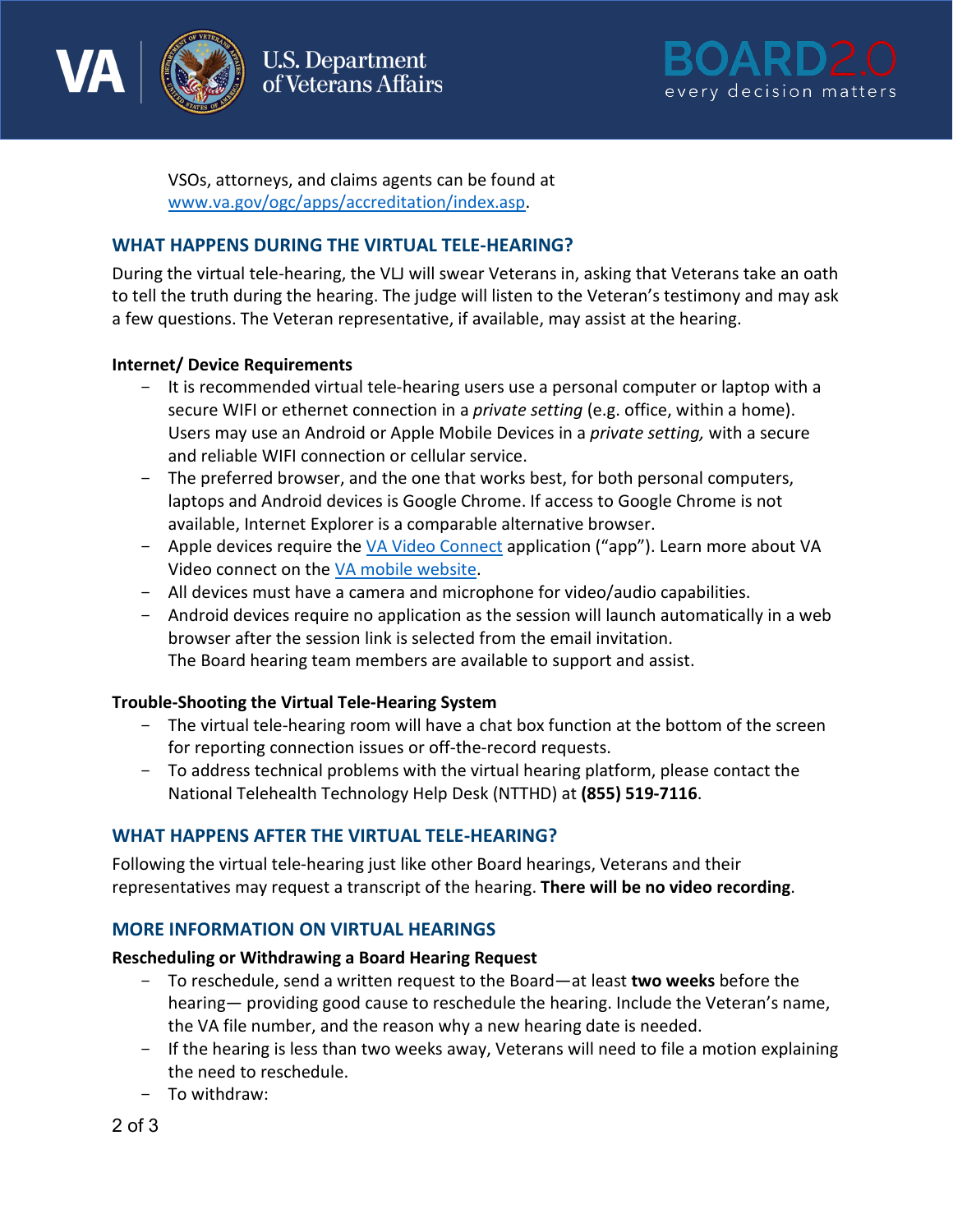



VSOs, attorneys, and claims agents can be found at [www.va.gov/ogc/apps/accreditation/index.asp.](http://www.va.gov/ogc/apps/accreditation/index.asp)

# **WHAT HAPPENS DURING THE VIRTUAL TELE-HEARING?**

During the virtual tele-hearing, the VLJ will swear Veterans in, asking that Veterans take an oath to tell the truth during the hearing. The judge will listen to the Veteran's testimony and may ask a few questions. The Veteran representative, if available, may assist at the hearing.

## **Internet/ Device Requirements**

- It is recommended virtual tele-hearing users use a personal computer or laptop with a secure WIFI or ethernet connection in a *private setting* (e.g. office, within a home). Users may use an Android or Apple Mobile Devices in a *private setting,* with a secure and reliable WIFI connection or cellular service.
- The preferred browser, and the one that works best, for both personal computers, laptops and Android devices is Google Chrome. If access to Google Chrome is not available, Internet Explorer is a comparable alternative browser.
- Apple devices require the [VA Video Connect](https://apps.apple.com/us/app/va-video-connect/id1224250949) application ("app"). Learn more about VA Video connect on the [VA mobile website.](https://mobile.va.gov/app/va-video-connect)
- All devices must have a camera and microphone for video/audio capabilities.
- Android devices require no application as the session will launch automatically in a web browser after the session link is selected from the email invitation. The Board hearing team members are available to support and assist.

#### **Trouble-Shooting the Virtual Tele-Hearing System**

- The virtual tele-hearing room will have a chat box function at the bottom of the screen for reporting connection issues or off-the-record requests.
- To address technical problems with the virtual hearing platform, please contact the National Telehealth Technology Help Desk (NTTHD) at **(855) 519-7116**.

## **WHAT HAPPENS AFTER THE VIRTUAL TELE-HEARING?**

Following the virtual tele-hearing just like other Board hearings, Veterans and their representatives may request a transcript of the hearing. **There will be no video recording**.

## **MORE INFORMATION ON VIRTUAL HEARINGS**

#### **Rescheduling or Withdrawing a Board Hearing Request**

- To reschedule, send a written request to the Board—at least **two weeks** before the hearing— providing good cause to reschedule the hearing. Include the Veteran's name, the VA file number, and the reason why a new hearing date is needed.
- If the hearing is less than two weeks away, Veterans will need to file a motion explaining the need to reschedule.
- To withdraw: